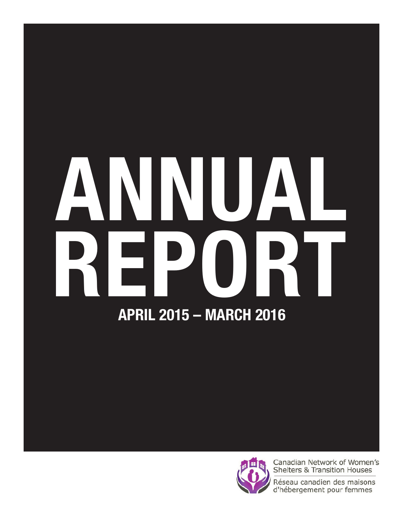# ANNUAL REPORT APRIL 2015 – MARCH 2016



Canadian Network of Women's **Shelters & Transition Houses** 

Réseau canadien des maisons d'hébergement pour femmes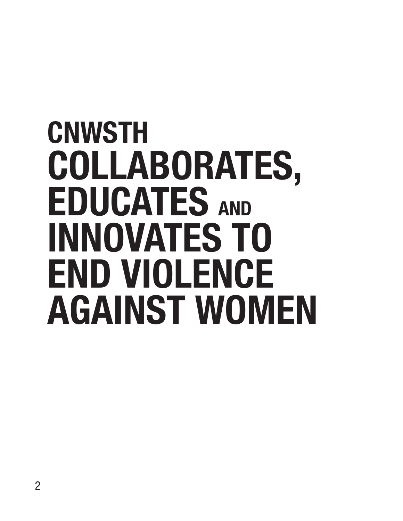### **CNWSTH** COLLABORATES, EDUCATES AND INNOVATES TO END VIOLENCE AGAINST WOMEN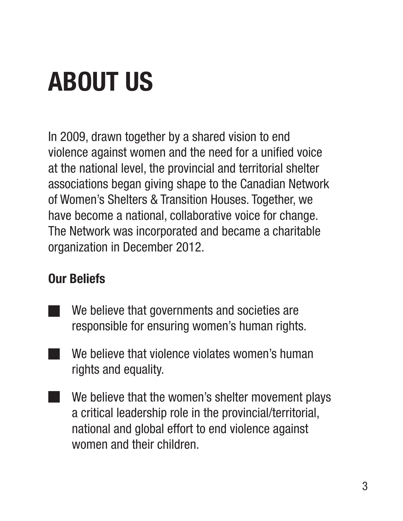### ABOUT US

In 2009, drawn together by a shared vision to end violence against women and the need for a unified voice at the national level, the provincial and territorial shelter associations began giving shape to the Canadian Network of Women's Shelters & Transition Houses. Together, we have become a national, collaborative voice for change. The Network was incorporated and became a charitable organization in December 2012.

#### Our Beliefs

- We believe that governments and societies are responsible for ensuring women's human rights.
- We believe that violence violates women's human rights and equality.
- We believe that the women's shelter movement plays a critical leadership role in the provincial/territorial, national and global effort to end violence against women and their children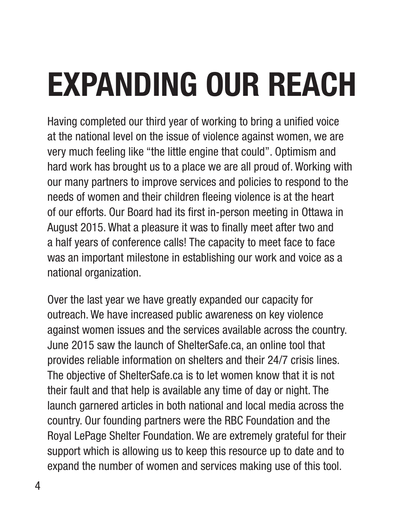## EXPANDING OUR REACH

Having completed our third year of working to bring a unified voice at the national level on the issue of violence against women, we are very much feeling like "the little engine that could". Optimism and hard work has brought us to a place we are all proud of. Working with our many partners to improve services and policies to respond to the needs of women and their children fleeing violence is at the heart of our efforts. Our Board had its first in-person meeting in Ottawa in August 2015. What a pleasure it was to finally meet after two and a half years of conference calls! The capacity to meet face to face was an important milestone in establishing our work and voice as a national organization.

Over the last year we have greatly expanded our capacity for outreach. We have increased public awareness on key violence against women issues and the services available across the country. June 2015 saw the launch of ShelterSafe.ca, an online tool that provides reliable information on shelters and their 24/7 crisis lines. The objective of ShelterSafe.ca is to let women know that it is not their fault and that help is available any time of day or night. The launch garnered articles in both national and local media across the country. Our founding partners were the RBC Foundation and the Royal LePage Shelter Foundation. We are extremely grateful for their support which is allowing us to keep this resource up to date and to expand the number of women and services making use of this tool.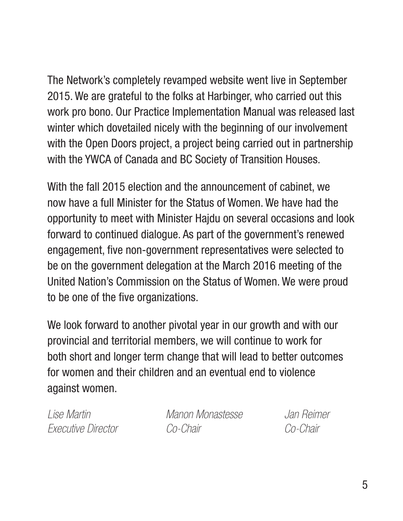The Network's completely revamped website went live in September 2015. We are grateful to the folks at Harbinger, who carried out this work pro bono. Our Practice Implementation Manual was released last winter which dovetailed nicely with the beginning of our involvement with the Open Doors project, a project being carried out in partnership with the YWCA of Canada and BC Society of Transition Houses.

With the fall 2015 election and the announcement of cabinet, we now have a full Minister for the Status of Women. We have had the opportunity to meet with Minister Hajdu on several occasions and look forward to continued dialogue. As part of the government's renewed engagement, five non-government representatives were selected to be on the government delegation at the March 2016 meeting of the United Nation's Commission on the Status of Women. We were proud to be one of the five organizations.

We look forward to another pivotal year in our growth and with our provincial and territorial members, we will continue to work for both short and longer term change that will lead to better outcomes for women and their children and an eventual end to violence against women.

*Lise Martin Manon Monastesse Jan Reimer Executive Director Co-Chair Co-Chair*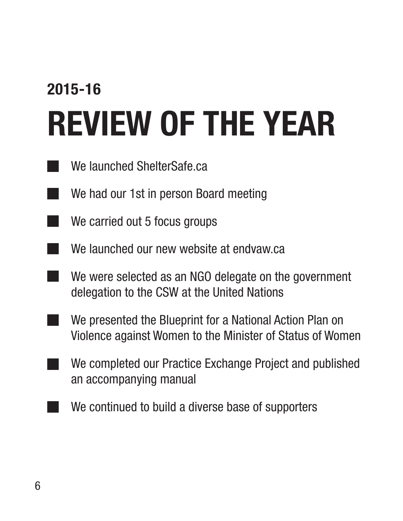### 2015-16 REVIEW OF THE YEAR

- We launched ShelterSafe.ca
- $\blacksquare$  We had our 1st in person Board meeting
- $\blacksquare$  We carried out 5 focus groups
- **We launched our new website at endvaw.ca**
- We were selected as an NGO delegate on the government delegation to the CSW at the United Nations
- We presented the Blueprint for a National Action Plan on Violence against Women to the Minister of Status of Women
- We completed our Practice Exchange Project and published an accompanying manual
- We continued to build a diverse base of supporters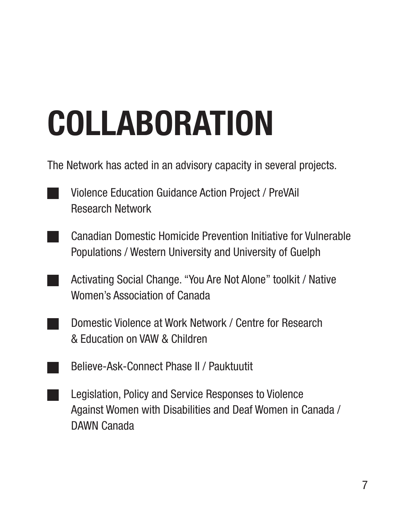## COLLABORATION

The Network has acted in an advisory capacity in several projects.

- **Violence Education Guidance Action Project / PreVAil** Research Network
- Canadian Domestic Homicide Prevention Initiative for Vulnerable Populations / Western University and University of Guelph
- **Activating Social Change. "You Are Not Alone" toolkit / Native** Women's Association of Canada
- **Domestic Violence at Work Network / Centre for Research** & Education on VAW & Children
- **Believe-Ask-Connect Phase II / Pauktuutit**
- **Legislation, Policy and Service Responses to Violence** Against Women with Disabilities and Deaf Women in Canada / DAWN Canada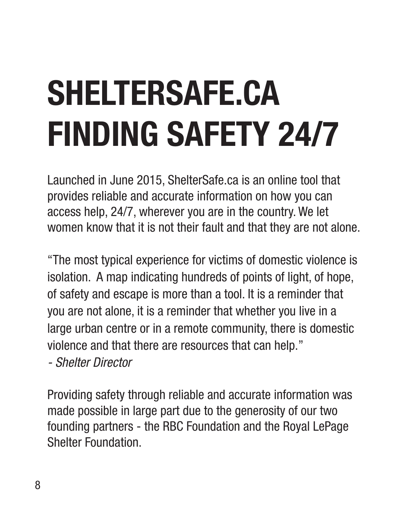## SHELTERSAFE.CA FINDING SAFETY 24/7

Launched in June 2015, ShelterSafe.ca is an online tool that provides reliable and accurate information on how you can access help, 24/7, wherever you are in the country. We let women know that it is not their fault and that they are not alone.

"The most typical experience for victims of domestic violence is isolation. A map indicating hundreds of points of light, of hope, of safety and escape is more than a tool. It is a reminder that you are not alone, it is a reminder that whether you live in a large urban centre or in a remote community, there is domestic violence and that there are resources that can help."

*- Shelter Director*

Providing safety through reliable and accurate information was made possible in large part due to the generosity of our two founding partners - the RBC Foundation and the Royal LePage Shelter Foundation.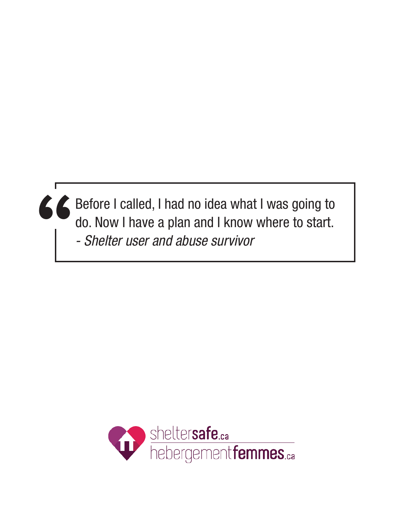**"** Before I called, I had no idea what I was going to do. Now I have a plan and I know where to start. *- Shelter user and abuse survivor* 

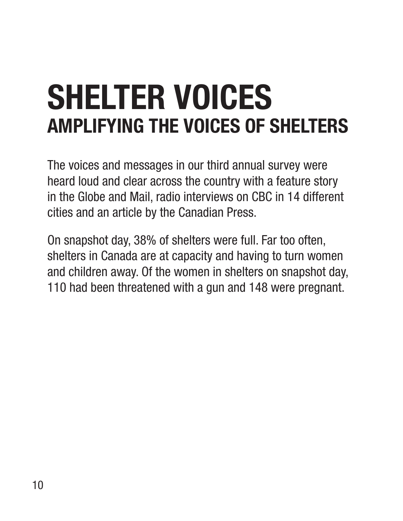### SHELTER VOICES AMPLIFYING THE VOICES OF SHELTERS

The voices and messages in our third annual survey were heard loud and clear across the country with a feature story in the Globe and Mail, radio interviews on CBC in 14 different cities and an article by the Canadian Press.

On snapshot day, 38% of shelters were full. Far too often, shelters in Canada are at capacity and having to turn women and children away. Of the women in shelters on snapshot day, 110 had been threatened with a gun and 148 were pregnant.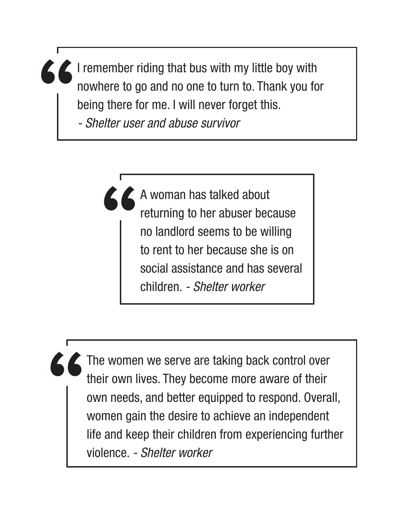**"** I remember riding that bus with my little boy with nowhere to go and no one to turn to. Thank you for being there for me. I will never forget this.

*- Shelter user and abuse survivor* 

**"** A woman has talked about returning to her abuser because no landlord seems to be willing to rent to her because she is on social assistance and has several children. *- Shelter worker* 

**"** The women we serve are taking back control over their own lives. They become more aware of their own needs, and better equipped to respond. Overall, women gain the desire to achieve an independent life and keep their children from experiencing further violence. *- Shelter worker*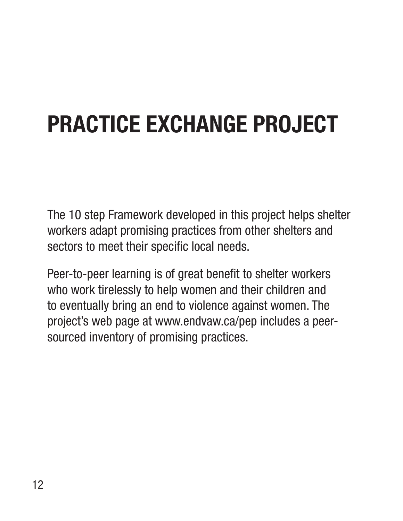#### PRACTICE EXCHANGE PROJECT

The 10 step Framework developed in this project helps shelter workers adapt promising practices from other shelters and sectors to meet their specific local needs.

Peer-to-peer learning is of great benefit to shelter workers who work tirelessly to help women and their children and to eventually bring an end to violence against women. The project's web page at www.endvaw.ca/pep includes a peersourced inventory of promising practices.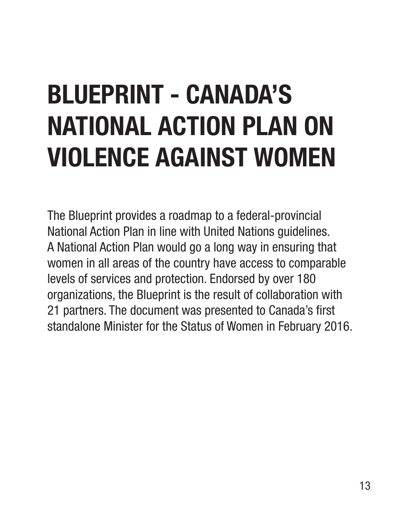### BLUEPRINT - CANADA'S NATIONAL ACTION PLAN ON VIOLENCE AGAINST WOMEN

The Blueprint provides a roadmap to a federal-provincial National Action Plan in line with United Nations guidelines. A National Action Plan would go a long way in ensuring that women in all areas of the country have access to comparable levels of services and protection. Endorsed by over 180 organizations, the Blueprint is the result of collaboration with 21 partners. The document was presented to Canada's first standalone Minister for the Status of Women in February 2016.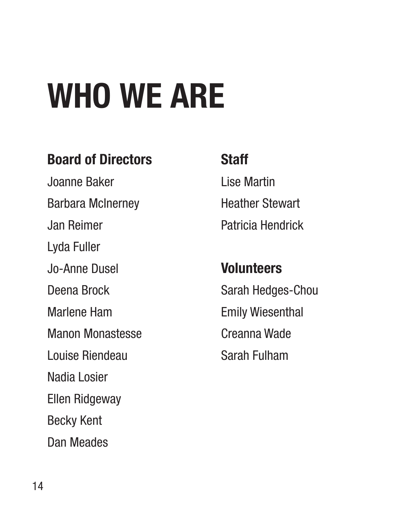## WHO WE ARE

#### Board of Directors

Joanne Baker Barbara McInerney Jan Reimer Lyda Fuller Jo-Anne Dusel Deena Brock Marlene Ham Manon Monastesse Louise Riendeau Nadia Losier Ellen Ridgeway Becky Kent Dan Meades

#### **Staff**

Lise Martin Heather Stewart Patricia Hendrick

#### **Volunteers**

Sarah Hedges-Chou Emily Wiesenthal Creanna Wade Sarah Fulham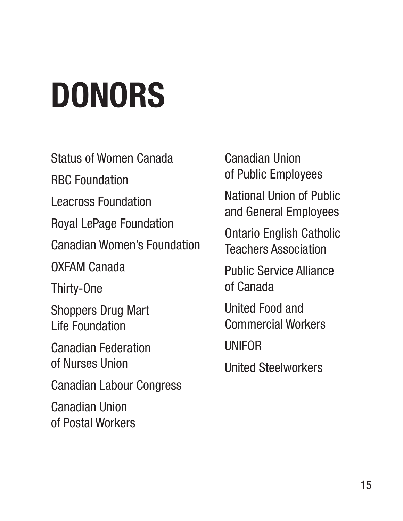## DONORS

Status of Women Canada

RBC Foundation

Leacross Foundation

Royal LePage Foundation

Canadian Women's Foundation

OXFAM Canada

Thirty-One

Shoppers Drug Mart Life Foundation

Canadian Federation of Nurses Union

Canadian Labour Congress

Canadian Union of Postal Workers Canadian Union of Public Employees

National Union of Public and General Employees

Ontario English Catholic Teachers Association

Public Service Alliance of Canada

United Food and Commercial Workers

UNIFOR

United Steelworkers